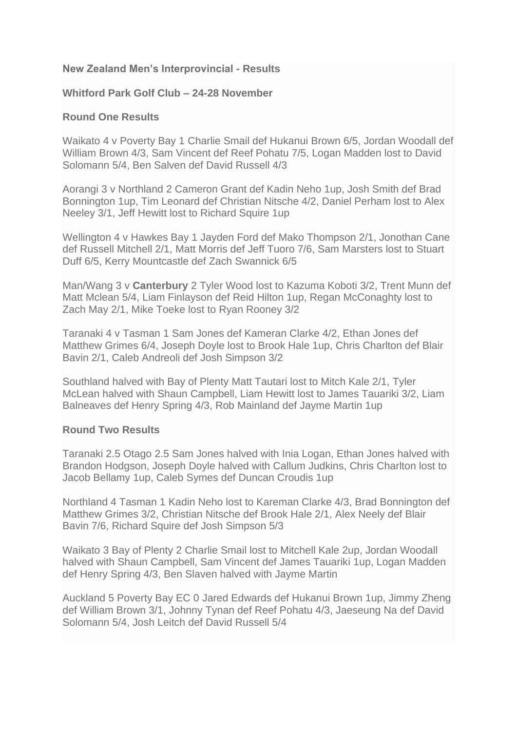## **New Zealand Men's Interprovincial - Results**

#### **Whitford Park Golf Club – 24-28 November**

#### **Round One Results**

Waikato 4 v Poverty Bay 1 Charlie Smail def Hukanui Brown 6/5, Jordan Woodall def William Brown 4/3, Sam Vincent def Reef Pohatu 7/5, Logan Madden lost to David Solomann 5/4, Ben Salven def David Russell 4/3

Aorangi 3 v Northland 2 Cameron Grant def Kadin Neho 1up, Josh Smith def Brad Bonnington 1up, Tim Leonard def Christian Nitsche 4/2, Daniel Perham lost to Alex Neeley 3/1, Jeff Hewitt lost to Richard Squire 1up

Wellington 4 v Hawkes Bay 1 Jayden Ford def Mako Thompson 2/1, Jonothan Cane def Russell Mitchell 2/1, Matt Morris def Jeff Tuoro 7/6, Sam Marsters lost to Stuart Duff 6/5, Kerry Mountcastle def Zach Swannick 6/5

Man/Wang 3 v **Canterbury** 2 Tyler Wood lost to Kazuma Koboti 3/2, Trent Munn def Matt Mclean 5/4, Liam Finlayson def Reid Hilton 1up, Regan McConaghty lost to Zach May 2/1, Mike Toeke lost to Ryan Rooney 3/2

Taranaki 4 v Tasman 1 Sam Jones def Kameran Clarke 4/2, Ethan Jones def Matthew Grimes 6/4, Joseph Doyle lost to Brook Hale 1up, Chris Charlton def Blair Bavin 2/1, Caleb Andreoli def Josh Simpson 3/2

Southland halved with Bay of Plenty Matt Tautari lost to Mitch Kale 2/1, Tyler McLean halved with Shaun Campbell, Liam Hewitt lost to James Tauariki 3/2, Liam Balneaves def Henry Spring 4/3, Rob Mainland def Jayme Martin 1up

#### **Round Two Results**

Taranaki 2.5 Otago 2.5 Sam Jones halved with Inia Logan, Ethan Jones halved with Brandon Hodgson, Joseph Doyle halved with Callum Judkins, Chris Charlton lost to Jacob Bellamy 1up, Caleb Symes def Duncan Croudis 1up

Northland 4 Tasman 1 Kadin Neho lost to Kareman Clarke 4/3, Brad Bonnington def Matthew Grimes 3/2, Christian Nitsche def Brook Hale 2/1, Alex Neely def Blair Bavin 7/6, Richard Squire def Josh Simpson 5/3

Waikato 3 Bay of Plenty 2 Charlie Smail lost to Mitchell Kale 2up, Jordan Woodall halved with Shaun Campbell, Sam Vincent def James Tauariki 1up, Logan Madden def Henry Spring 4/3, Ben Slaven halved with Jayme Martin

Auckland 5 Poverty Bay EC 0 Jared Edwards def Hukanui Brown 1up, Jimmy Zheng def William Brown 3/1, Johnny Tynan def Reef Pohatu 4/3, Jaeseung Na def David Solomann 5/4, Josh Leitch def David Russell 5/4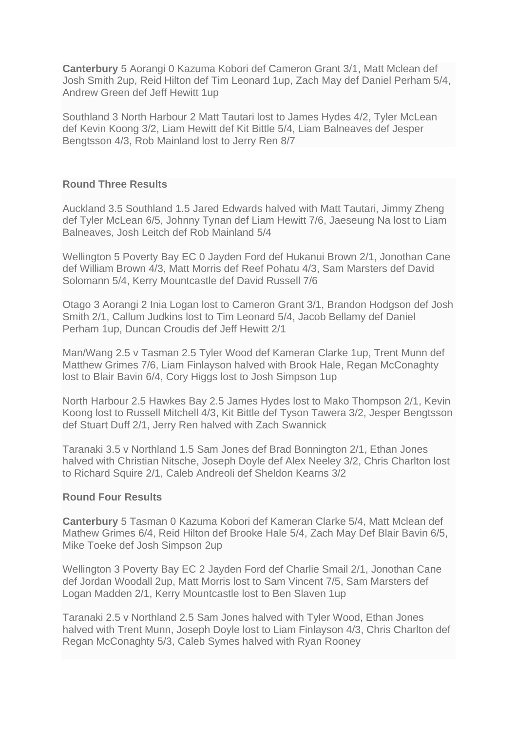**Canterbury** 5 Aorangi 0 Kazuma Kobori def Cameron Grant 3/1, Matt Mclean def Josh Smith 2up, Reid Hilton def Tim Leonard 1up, Zach May def Daniel Perham 5/4, Andrew Green def Jeff Hewitt 1up

Southland 3 North Harbour 2 Matt Tautari lost to James Hydes 4/2, Tyler McLean def Kevin Koong 3/2, Liam Hewitt def Kit Bittle 5/4, Liam Balneaves def Jesper Bengtsson 4/3, Rob Mainland lost to Jerry Ren 8/7

#### **Round Three Results**

Auckland 3.5 Southland 1.5 Jared Edwards halved with Matt Tautari, Jimmy Zheng def Tyler McLean 6/5, Johnny Tynan def Liam Hewitt 7/6, Jaeseung Na lost to Liam Balneaves, Josh Leitch def Rob Mainland 5/4

Wellington 5 Poverty Bay EC 0 Jayden Ford def Hukanui Brown 2/1, Jonothan Cane def William Brown 4/3, Matt Morris def Reef Pohatu 4/3, Sam Marsters def David Solomann 5/4, Kerry Mountcastle def David Russell 7/6

Otago 3 Aorangi 2 Inia Logan lost to Cameron Grant 3/1, Brandon Hodgson def Josh Smith 2/1, Callum Judkins lost to Tim Leonard 5/4, Jacob Bellamy def Daniel Perham 1up, Duncan Croudis def Jeff Hewitt 2/1

Man/Wang 2.5 v Tasman 2.5 Tyler Wood def Kameran Clarke 1up, Trent Munn def Matthew Grimes 7/6, Liam Finlayson halved with Brook Hale, Regan McConaghty lost to Blair Bavin 6/4, Cory Higgs lost to Josh Simpson 1up

North Harbour 2.5 Hawkes Bay 2.5 James Hydes lost to Mako Thompson 2/1, Kevin Koong lost to Russell Mitchell 4/3, Kit Bittle def Tyson Tawera 3/2, Jesper Bengtsson def Stuart Duff 2/1, Jerry Ren halved with Zach Swannick

Taranaki 3.5 v Northland 1.5 Sam Jones def Brad Bonnington 2/1, Ethan Jones halved with Christian Nitsche, Joseph Doyle def Alex Neeley 3/2, Chris Charlton lost to Richard Squire 2/1, Caleb Andreoli def Sheldon Kearns 3/2

## **Round Four Results**

**Canterbury** 5 Tasman 0 Kazuma Kobori def Kameran Clarke 5/4, Matt Mclean def Mathew Grimes 6/4, Reid Hilton def Brooke Hale 5/4, Zach May Def Blair Bavin 6/5, Mike Toeke def Josh Simpson 2up

Wellington 3 Poverty Bay EC 2 Jayden Ford def Charlie Smail 2/1, Jonothan Cane def Jordan Woodall 2up, Matt Morris lost to Sam Vincent 7/5, Sam Marsters def Logan Madden 2/1, Kerry Mountcastle lost to Ben Slaven 1up

Taranaki 2.5 v Northland 2.5 Sam Jones halved with Tyler Wood, Ethan Jones halved with Trent Munn, Joseph Doyle lost to Liam Finlayson 4/3, Chris Charlton def Regan McConaghty 5/3, Caleb Symes halved with Ryan Rooney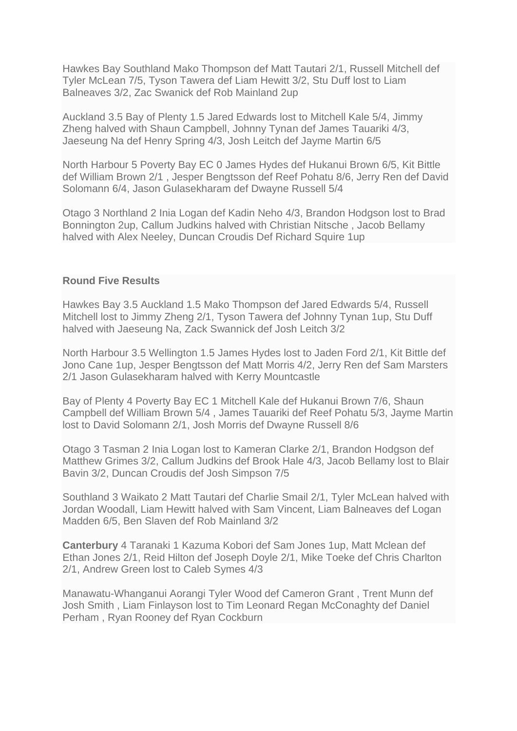Hawkes Bay Southland Mako Thompson def Matt Tautari 2/1, Russell Mitchell def Tyler McLean 7/5, Tyson Tawera def Liam Hewitt 3/2, Stu Duff lost to Liam Balneaves 3/2, Zac Swanick def Rob Mainland 2up

Auckland 3.5 Bay of Plenty 1.5 Jared Edwards lost to Mitchell Kale 5/4, Jimmy Zheng halved with Shaun Campbell, Johnny Tynan def James Tauariki 4/3, Jaeseung Na def Henry Spring 4/3, Josh Leitch def Jayme Martin 6/5

North Harbour 5 Poverty Bay EC 0 James Hydes def Hukanui Brown 6/5, Kit Bittle def William Brown 2/1 , Jesper Bengtsson def Reef Pohatu 8/6, Jerry Ren def David Solomann 6/4, Jason Gulasekharam def Dwayne Russell 5/4

Otago 3 Northland 2 Inia Logan def Kadin Neho 4/3, Brandon Hodgson lost to Brad Bonnington 2up, Callum Judkins halved with Christian Nitsche , Jacob Bellamy halved with Alex Neeley, Duncan Croudis Def Richard Squire 1up

#### **Round Five Results**

Hawkes Bay 3.5 Auckland 1.5 Mako Thompson def Jared Edwards 5/4, Russell Mitchell lost to Jimmy Zheng 2/1, Tyson Tawera def Johnny Tynan 1up, Stu Duff halved with Jaeseung Na, Zack Swannick def Josh Leitch 3/2

North Harbour 3.5 Wellington 1.5 James Hydes lost to Jaden Ford 2/1, Kit Bittle def Jono Cane 1up, Jesper Bengtsson def Matt Morris 4/2, Jerry Ren def Sam Marsters 2/1 Jason Gulasekharam halved with Kerry Mountcastle

Bay of Plenty 4 Poverty Bay EC 1 Mitchell Kale def Hukanui Brown 7/6, Shaun Campbell def William Brown 5/4 , James Tauariki def Reef Pohatu 5/3, Jayme Martin lost to David Solomann 2/1, Josh Morris def Dwayne Russell 8/6

Otago 3 Tasman 2 Inia Logan lost to Kameran Clarke 2/1, Brandon Hodgson def Matthew Grimes 3/2, Callum Judkins def Brook Hale 4/3, Jacob Bellamy lost to Blair Bavin 3/2, Duncan Croudis def Josh Simpson 7/5

Southland 3 Waikato 2 Matt Tautari def Charlie Smail 2/1, Tyler McLean halved with Jordan Woodall, Liam Hewitt halved with Sam Vincent, Liam Balneaves def Logan Madden 6/5, Ben Slaven def Rob Mainland 3/2

**Canterbury** 4 Taranaki 1 Kazuma Kobori def Sam Jones 1up, Matt Mclean def Ethan Jones 2/1, Reid Hilton def Joseph Doyle 2/1, Mike Toeke def Chris Charlton 2/1, Andrew Green lost to Caleb Symes 4/3

Manawatu-Whanganui Aorangi Tyler Wood def Cameron Grant , Trent Munn def Josh Smith , Liam Finlayson lost to Tim Leonard Regan McConaghty def Daniel Perham , Ryan Rooney def Ryan Cockburn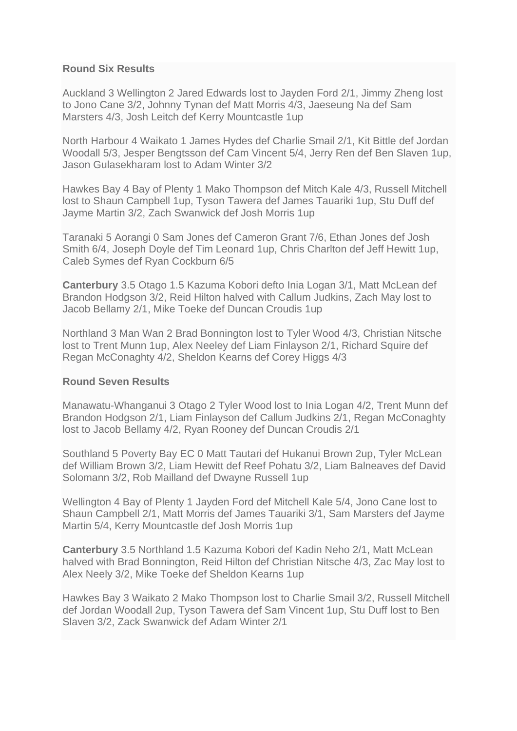## **Round Six Results**

Auckland 3 Wellington 2 Jared Edwards lost to Jayden Ford 2/1, Jimmy Zheng lost to Jono Cane 3/2, Johnny Tynan def Matt Morris 4/3, Jaeseung Na def Sam Marsters 4/3, Josh Leitch def Kerry Mountcastle 1up

North Harbour 4 Waikato 1 James Hydes def Charlie Smail 2/1, Kit Bittle def Jordan Woodall 5/3, Jesper Bengtsson def Cam Vincent 5/4, Jerry Ren def Ben Slaven 1up, Jason Gulasekharam lost to Adam Winter 3/2

Hawkes Bay 4 Bay of Plenty 1 Mako Thompson def Mitch Kale 4/3, Russell Mitchell lost to Shaun Campbell 1up, Tyson Tawera def James Tauariki 1up, Stu Duff def Jayme Martin 3/2, Zach Swanwick def Josh Morris 1up

Taranaki 5 Aorangi 0 Sam Jones def Cameron Grant 7/6, Ethan Jones def Josh Smith 6/4, Joseph Doyle def Tim Leonard 1up, Chris Charlton def Jeff Hewitt 1up, Caleb Symes def Ryan Cockburn 6/5

**Canterbury** 3.5 Otago 1.5 Kazuma Kobori defto Inia Logan 3/1, Matt McLean def Brandon Hodgson 3/2, Reid Hilton halved with Callum Judkins, Zach May lost to Jacob Bellamy 2/1, Mike Toeke def Duncan Croudis 1up

Northland 3 Man Wan 2 Brad Bonnington lost to Tyler Wood 4/3, Christian Nitsche lost to Trent Munn 1up, Alex Neeley def Liam Finlayson 2/1, Richard Squire def Regan McConaghty 4/2, Sheldon Kearns def Corey Higgs 4/3

#### **Round Seven Results**

Manawatu-Whanganui 3 Otago 2 Tyler Wood lost to Inia Logan 4/2, Trent Munn def Brandon Hodgson 2/1, Liam Finlayson def Callum Judkins 2/1, Regan McConaghty lost to Jacob Bellamy 4/2, Ryan Rooney def Duncan Croudis 2/1

Southland 5 Poverty Bay EC 0 Matt Tautari def Hukanui Brown 2up, Tyler McLean def William Brown 3/2, Liam Hewitt def Reef Pohatu 3/2, Liam Balneaves def David Solomann 3/2, Rob Mailland def Dwayne Russell 1up

Wellington 4 Bay of Plenty 1 Jayden Ford def Mitchell Kale 5/4, Jono Cane lost to Shaun Campbell 2/1, Matt Morris def James Tauariki 3/1, Sam Marsters def Jayme Martin 5/4, Kerry Mountcastle def Josh Morris 1up

**Canterbury** 3.5 Northland 1.5 Kazuma Kobori def Kadin Neho 2/1, Matt McLean halved with Brad Bonnington, Reid Hilton def Christian Nitsche 4/3, Zac May lost to Alex Neely 3/2, Mike Toeke def Sheldon Kearns 1up

Hawkes Bay 3 Waikato 2 Mako Thompson lost to Charlie Smail 3/2, Russell Mitchell def Jordan Woodall 2up, Tyson Tawera def Sam Vincent 1up, Stu Duff lost to Ben Slaven 3/2, Zack Swanwick def Adam Winter 2/1